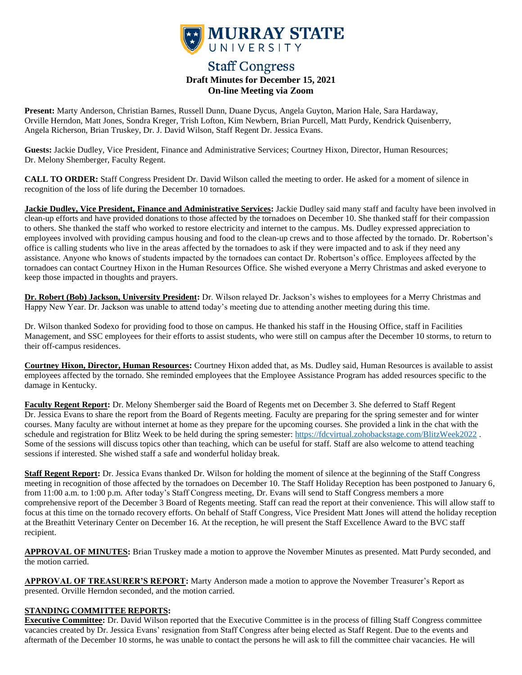

# **Staff Congress Draft Minutes for December 15, 2021 On-line Meeting via Zoom**

**Present:** Marty Anderson, Christian Barnes, Russell Dunn, Duane Dycus, Angela Guyton, Marion Hale, Sara Hardaway, Orville Herndon, Matt Jones, Sondra Kreger, Trish Lofton, Kim Newbern, Brian Purcell, Matt Purdy, Kendrick Quisenberry, Angela Richerson, Brian Truskey, Dr. J. David Wilson, Staff Regent Dr. Jessica Evans.

**Guests:** Jackie Dudley, Vice President, Finance and Administrative Services; Courtney Hixon, Director, Human Resources; Dr. Melony Shemberger, Faculty Regent.

**CALL TO ORDER:** Staff Congress President Dr. David Wilson called the meeting to order. He asked for a moment of silence in recognition of the loss of life during the December 10 tornadoes.

**Jackie Dudley, Vice President, Finance and Administrative Services:** Jackie Dudley said many staff and faculty have been involved in clean-up efforts and have provided donations to those affected by the tornadoes on December 10. She thanked staff for their compassion to others. She thanked the staff who worked to restore electricity and internet to the campus. Ms. Dudley expressed appreciation to employees involved with providing campus housing and food to the clean-up crews and to those affected by the tornado. Dr. Robertson's office is calling students who live in the areas affected by the tornadoes to ask if they were impacted and to ask if they need any assistance. Anyone who knows of students impacted by the tornadoes can contact Dr. Robertson's office. Employees affected by the tornadoes can contact Courtney Hixon in the Human Resources Office. She wished everyone a Merry Christmas and asked everyone to keep those impacted in thoughts and prayers.

**Dr. Robert (Bob) Jackson, University President:** Dr. Wilson relayed Dr. Jackson's wishes to employees for a Merry Christmas and Happy New Year. Dr. Jackson was unable to attend today's meeting due to attending another meeting during this time.

Dr. Wilson thanked Sodexo for providing food to those on campus. He thanked his staff in the Housing Office, staff in Facilities Management, and SSC employees for their efforts to assist students, who were still on campus after the December 10 storms, to return to their off-campus residences.

**Courtney Hixon, Director, Human Resources:** Courtney Hixon added that, as Ms. Dudley said, Human Resources is available to assist employees affected by the tornado. She reminded employees that the Employee Assistance Program has added resources specific to the damage in Kentucky.

**Faculty Regent Report:** Dr. Melony Shemberger said the Board of Regents met on December 3. She deferred to Staff Regent Dr. Jessica Evans to share the report from the Board of Regents meeting. Faculty are preparing for the spring semester and for winter courses. Many faculty are without internet at home as they prepare for the upcoming courses. She provided a link in the chat with the schedule and registration for Blitz Week to be held during the spring semester: <https://fdcvirtual.zohobackstage.com/BlitzWeek2022> . Some of the sessions will discuss topics other than teaching, which can be useful for staff. Staff are also welcome to attend teaching sessions if interested. She wished staff a safe and wonderful holiday break.

**Staff Regent Report:** Dr. Jessica Evans thanked Dr. Wilson for holding the moment of silence at the beginning of the Staff Congress meeting in recognition of those affected by the tornadoes on December 10. The Staff Holiday Reception has been postponed to January 6, from 11:00 a.m. to 1:00 p.m. After today's Staff Congress meeting, Dr. Evans will send to Staff Congress members a more comprehensive report of the December 3 Board of Regents meeting. Staff can read the report at their convenience. This will allow staff to focus at this time on the tornado recovery efforts. On behalf of Staff Congress, Vice President Matt Jones will attend the holiday reception at the Breathitt Veterinary Center on December 16. At the reception, he will present the Staff Excellence Award to the BVC staff recipient.

**APPROVAL OF MINUTES:** Brian Truskey made a motion to approve the November Minutes as presented. Matt Purdy seconded, and the motion carried.

**APPROVAL OF TREASURER'S REPORT:** Marty Anderson made a motion to approve the November Treasurer's Report as presented. Orville Herndon seconded, and the motion carried.

#### **STANDING COMMITTEE REPORTS:**

**Executive Committee:** Dr. David Wilson reported that the Executive Committee is in the process of filling Staff Congress committee vacancies created by Dr. Jessica Evans' resignation from Staff Congress after being elected as Staff Regent. Due to the events and aftermath of the December 10 storms, he was unable to contact the persons he will ask to fill the committee chair vacancies. He will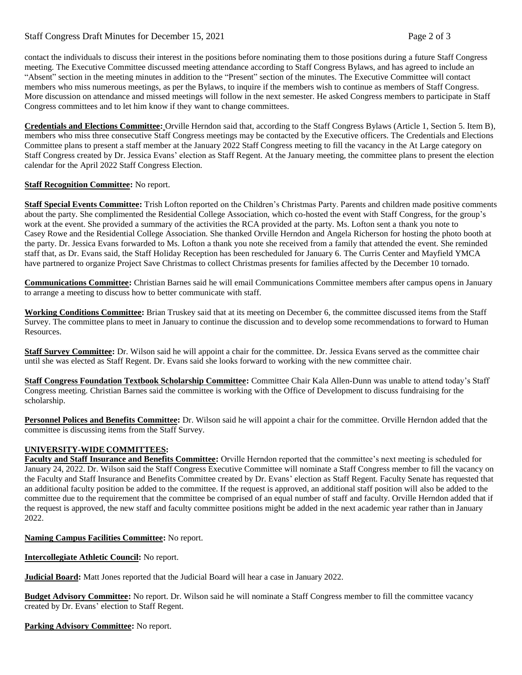## Staff Congress Draft Minutes for December 15, 2021 Page 2 of 3

contact the individuals to discuss their interest in the positions before nominating them to those positions during a future Staff Congress meeting. The Executive Committee discussed meeting attendance according to Staff Congress Bylaws, and has agreed to include an "Absent" section in the meeting minutes in addition to the "Present" section of the minutes. The Executive Committee will contact members who miss numerous meetings, as per the Bylaws, to inquire if the members wish to continue as members of Staff Congress. More discussion on attendance and missed meetings will follow in the next semester. He asked Congress members to participate in Staff Congress committees and to let him know if they want to change committees.

**Credentials and Elections Committee:** Orville Herndon said that, according to the Staff Congress Bylaws (Article 1, Section 5. Item B), members who miss three consecutive Staff Congress meetings may be contacted by the Executive officers. The Credentials and Elections Committee plans to present a staff member at the January 2022 Staff Congress meeting to fill the vacancy in the At Large category on Staff Congress created by Dr. Jessica Evans' election as Staff Regent. At the January meeting, the committee plans to present the election calendar for the April 2022 Staff Congress Election.

### **Staff Recognition Committee:** No report.

**Staff Special Events Committee:** Trish Lofton reported on the Children's Christmas Party. Parents and children made positive comments about the party. She complimented the Residential College Association, which co-hosted the event with Staff Congress, for the group's work at the event. She provided a summary of the activities the RCA provided at the party. Ms. Lofton sent a thank you note to Casey Rowe and the Residential College Association. She thanked Orville Herndon and Angela Richerson for hosting the photo booth at the party. Dr. Jessica Evans forwarded to Ms. Lofton a thank you note she received from a family that attended the event. She reminded staff that, as Dr. Evans said, the Staff Holiday Reception has been rescheduled for January 6. The Curris Center and Mayfield YMCA have partnered to organize Project Save Christmas to collect Christmas presents for families affected by the December 10 tornado.

**Communications Committee:** Christian Barnes said he will email Communications Committee members after campus opens in January to arrange a meeting to discuss how to better communicate with staff.

**Working Conditions Committee:** Brian Truskey said that at its meeting on December 6, the committee discussed items from the Staff Survey. The committee plans to meet in January to continue the discussion and to develop some recommendations to forward to Human Resources.

**Staff Survey Committee:** Dr. Wilson said he will appoint a chair for the committee. Dr. Jessica Evans served as the committee chair until she was elected as Staff Regent. Dr. Evans said she looks forward to working with the new committee chair.

**Staff Congress Foundation Textbook Scholarship Committee:** Committee Chair Kala Allen-Dunn was unable to attend today's Staff Congress meeting. Christian Barnes said the committee is working with the Office of Development to discuss fundraising for the scholarship.

**Personnel Polices and Benefits Committee:** Dr. Wilson said he will appoint a chair for the committee. Orville Herndon added that the committee is discussing items from the Staff Survey.

#### **UNIVERSITY-WIDE COMMITTEES:**

**Faculty and Staff Insurance and Benefits Committee:** Orville Herndon reported that the committee's next meeting is scheduled for January 24, 2022. Dr. Wilson said the Staff Congress Executive Committee will nominate a Staff Congress member to fill the vacancy on the Faculty and Staff Insurance and Benefits Committee created by Dr. Evans' election as Staff Regent. Faculty Senate has requested that an additional faculty position be added to the committee. If the request is approved, an additional staff position will also be added to the committee due to the requirement that the committee be comprised of an equal number of staff and faculty. Orville Herndon added that if the request is approved, the new staff and faculty committee positions might be added in the next academic year rather than in January 2022.

**Naming Campus Facilities Committee:** No report.

**Intercollegiate Athletic Council:** No report.

**Judicial Board:** Matt Jones reported that the Judicial Board will hear a case in January 2022.

**Budget Advisory Committee:** No report. Dr. Wilson said he will nominate a Staff Congress member to fill the committee vacancy created by Dr. Evans' election to Staff Regent.

**Parking Advisory Committee:** No report.